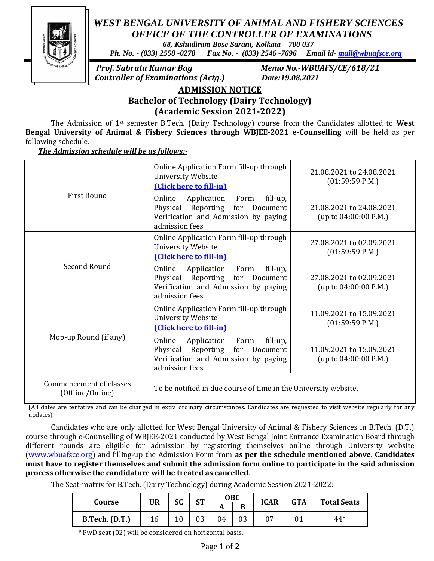

## *WEST BENGAL UNIVERSITY OF ANIMAL AND FISHERY SCIENCES OFFICE OF THE CONTROLLER OF EXAMINATIONS 68, Kshudiram Bose Sarani, Kolkata – 700 037*

 *Ph. No. - (033) 2558 -0278 Fax No. - (033) 2546 -7696 Email id- [mail@wbuafsce.org](mailto:mail@wbuafsce.org)*

Prof. Subrata Kumar Bag Memo No.-WBUAFS/CE/618/21  *Controller of Examinations (Actg.) Date:19.08.2021*

**ADMISSION NOTICE**

**Bachelor of Technology (Dairy Technology) (Academic Session 2021-2022)**

The Admission of 1st semester B.Tech. (Dairy Technology) course from the Candidates allotted to **West Bengal University of Animal & Fishery Sciences through WBJEE-2021 e-Counselling** will be held as per following schedule.

## *The Admission schedule will be as follows:-*

| First Round                                 | Online Application Form fill-up through<br><b>University Website</b><br>(Click here to fill-in)                                                 | 21.08.2021 to 24.08.2021<br>(01:59:59 P.M.)         |  |  |  |  |
|---------------------------------------------|-------------------------------------------------------------------------------------------------------------------------------------------------|-----------------------------------------------------|--|--|--|--|
|                                             | Online<br>Application<br>fill-up,<br>Form<br>Physical Reporting<br>for<br>Document<br>Verification and Admission by paying<br>admission fees    | 21.08.2021 to 24.08.2021<br>(up to $04:00:00$ P.M.) |  |  |  |  |
| Second Round                                | Online Application Form fill-up through<br><b>University Website</b><br>(Click here to fill-in)                                                 | 27.08.2021 to 02.09.2021<br>(01:59:59 P.M.)         |  |  |  |  |
|                                             | Online<br>Application<br>Form<br>fill-up,<br>Reporting<br>Physical<br>for<br>Document<br>Verification and Admission by paying<br>admission fees | 27.08.2021 to 02.09.2021<br>(up to $04:00:00$ P.M.) |  |  |  |  |
| Mop-up Round (if any)                       | Online Application Form fill-up through<br><b>University Website</b><br>(Click here to fill-in)                                                 | 11.09.2021 to 15.09.2021<br>(01:59:59 P.M.)         |  |  |  |  |
|                                             | Online<br>Application<br>fill-up,<br>Form<br>Physical Reporting<br>for<br>Document<br>Verification and Admission by paying<br>admission fees    | 11.09.2021 to 15.09.2021<br>(up to $04:00:00$ P.M.) |  |  |  |  |
| Commencement of classes<br>(Offline/Online) | To be notified in due course of time in the University website.                                                                                 |                                                     |  |  |  |  |

(All dates are tentative and can be changed in extra ordinary circumstances. Candidates are requested to visit website regularly for any updates)

Candidates who are only allotted for West Bengal University of Animal & Fishery Sciences in B.Tech. (D.T.) course through e-Counselling of WBJEE-2021 conducted by West Bengal Joint Entrance Examination Board through different rounds are eligible for admission by registering themselves online through University website [\(www.wbuafsce.org\)](http://www.wbuafsce.org/) and filling-up the Admission Form from **as per the schedule mentioned above**. **Candidates must have to register themselves and submit the admission form online to participate in the said admission process otherwise the candidature will be treated as cancelled**.

The Seat-matrix for B.Tech. (Dairy Technology) during Academic Session 2021-2022:

| Course                | UR | <b>SC</b> | cт<br>JI | <b>OBC</b> |    | <b>ICAR</b> | <b>GTA</b> | <b>Total Seats</b> |
|-----------------------|----|-----------|----------|------------|----|-------------|------------|--------------------|
|                       |    |           |          | A          | D  |             |            |                    |
| <b>B.Tech.</b> (D.T.) |    |           | U3       | 04         | 03 |             |            | $44*$              |

\* PwD seat (02) will be considered on horizontal basis.